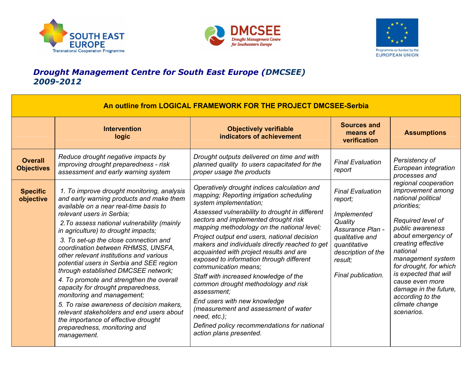





## *Drought Management Centre for South East Europe (DMCSEE) 2009-2012*

| An outline from LOGICAL FRAMEWORK FOR THE PROJECT DMCSEE-Serbia |                                                                                                                                                                                                                                                                                                                                                                                                                                                                                                                                                                                                                                                                                                                                                                  |                                                                                                                                                                                                                                                                                                                                                                                                                                                                                                                                                                                                                                                                                                                                               |                                                                                                                                                                            |                                                                                                                                                                                                                                                                                                                                                                |  |  |  |  |
|-----------------------------------------------------------------|------------------------------------------------------------------------------------------------------------------------------------------------------------------------------------------------------------------------------------------------------------------------------------------------------------------------------------------------------------------------------------------------------------------------------------------------------------------------------------------------------------------------------------------------------------------------------------------------------------------------------------------------------------------------------------------------------------------------------------------------------------------|-----------------------------------------------------------------------------------------------------------------------------------------------------------------------------------------------------------------------------------------------------------------------------------------------------------------------------------------------------------------------------------------------------------------------------------------------------------------------------------------------------------------------------------------------------------------------------------------------------------------------------------------------------------------------------------------------------------------------------------------------|----------------------------------------------------------------------------------------------------------------------------------------------------------------------------|----------------------------------------------------------------------------------------------------------------------------------------------------------------------------------------------------------------------------------------------------------------------------------------------------------------------------------------------------------------|--|--|--|--|
|                                                                 | <b>Intervention</b><br>logic                                                                                                                                                                                                                                                                                                                                                                                                                                                                                                                                                                                                                                                                                                                                     | <b>Objectively verifiable</b><br>indicators of achievement                                                                                                                                                                                                                                                                                                                                                                                                                                                                                                                                                                                                                                                                                    | <b>Sources and</b><br>means of<br>verification                                                                                                                             | <b>Assumptions</b>                                                                                                                                                                                                                                                                                                                                             |  |  |  |  |
| <b>Overall</b><br><b>Objectives</b>                             | Reduce drought negative impacts by<br>improving drought preparedness - risk<br>assessment and early warning system                                                                                                                                                                                                                                                                                                                                                                                                                                                                                                                                                                                                                                               | Drought outputs delivered on time and with<br>planned quality to users capacitated for the<br>proper usage the products                                                                                                                                                                                                                                                                                                                                                                                                                                                                                                                                                                                                                       | <b>Final Evaluation</b><br>report                                                                                                                                          | Persistency of<br>European integration<br>processes and                                                                                                                                                                                                                                                                                                        |  |  |  |  |
| <b>Specific</b><br>objective                                    | 1. To improve drought monitoring, analysis<br>and early warning products and make them<br>available on a near real-time basis to<br>relevant users in Serbia:<br>2. To assess national vulnerability (mainly<br>in agriculture) to drought impacts;<br>3. To set-up the close connection and<br>coordination between RHMSS, UNSFA,<br>other relevant institutions and various<br>potential users in Serbia and SEE region<br>through established DMCSEE network;<br>4. To promote and strengthen the overall<br>capacity for drought preparedness,<br>monitoring and management;<br>5. To raise awareness of decision makers,<br>relevant stakeholders and end users about<br>the importance of effective drought<br>preparedness, monitoring and<br>management. | Operatively drought indices calculation and<br>mapping; Reporting irrigation scheduling<br>system implementation;<br>Assessed vulnerability to drought in different<br>sectors and implemented drought risk<br>mapping methodology on the national level;<br>Project output end users, national decision<br>makers and individuals directly reached to get<br>acquainted with project results and are<br>exposed to information through different<br>communication means;<br>Staff with increased knowledge of the<br>common drought methodology and risk<br>assessment:<br>End users with new knowledge<br>(measurement and assessment of water<br>$need, etc.$ );<br>Defined policy recommendations for national<br>action plans presented. | <b>Final Evaluation</b><br>report;<br>Implemented<br>Quality<br>Assurance Plan -<br>qualitative and<br>quantitative<br>description of the<br>result;<br>Final publication. | regional cooperation<br><i>improvement among</i><br>national political<br>priorities;<br>Required level of<br>public awareness<br>about emergency of<br>creating effective<br>national<br>management system<br>for drought, for which<br>is expected that will<br>cause even more<br>damage in the future,<br>according to the<br>climate change<br>scenarios. |  |  |  |  |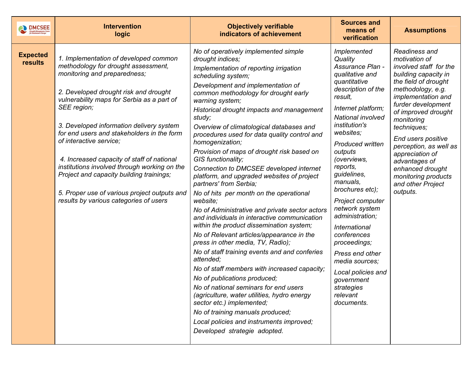| DMCSEE                            | <b>Intervention</b><br>logic                                                                                                                                                                                                                                                                                                                                                                                                                                                                                                                                                | <b>Objectively verifiable</b><br>indicators of achievement                                                                                                                                                                                                                                                                                                                                                                                                                                                                                                                                                                                                                                                                                                                                                                                                                                                                                                                                                                                                                                                                                                                                                                                                      | <b>Sources and</b><br>means of<br>verification                                                                                                                                                                                                                                                                                                                                                                                                                                                                                          | <b>Assumptions</b>                                                                                                                                                                                                                                                                                                                                                                            |
|-----------------------------------|-----------------------------------------------------------------------------------------------------------------------------------------------------------------------------------------------------------------------------------------------------------------------------------------------------------------------------------------------------------------------------------------------------------------------------------------------------------------------------------------------------------------------------------------------------------------------------|-----------------------------------------------------------------------------------------------------------------------------------------------------------------------------------------------------------------------------------------------------------------------------------------------------------------------------------------------------------------------------------------------------------------------------------------------------------------------------------------------------------------------------------------------------------------------------------------------------------------------------------------------------------------------------------------------------------------------------------------------------------------------------------------------------------------------------------------------------------------------------------------------------------------------------------------------------------------------------------------------------------------------------------------------------------------------------------------------------------------------------------------------------------------------------------------------------------------------------------------------------------------|-----------------------------------------------------------------------------------------------------------------------------------------------------------------------------------------------------------------------------------------------------------------------------------------------------------------------------------------------------------------------------------------------------------------------------------------------------------------------------------------------------------------------------------------|-----------------------------------------------------------------------------------------------------------------------------------------------------------------------------------------------------------------------------------------------------------------------------------------------------------------------------------------------------------------------------------------------|
| <b>Expected</b><br><b>results</b> | 1. Implementation of developed common<br>methodology for drought assessment,<br>monitoring and preparedness;<br>2. Developed drought risk and drought<br>vulnerability maps for Serbia as a part of<br>SEE region;<br>3. Developed information delivery system<br>for end users and stakeholders in the form<br>of interactive service;<br>4. Increased capacity of staff of national<br>institutions involved through working on the<br>Project and capacity building trainings;<br>5. Proper use of various project outputs and<br>results by various categories of users | No of operatively implemented simple<br>drought indices;<br>Implementation of reporting irrigation<br>scheduling system;<br>Development and implementation of<br>common methodology for drought early<br>warning system;<br>Historical drought impacts and management<br>study;<br>Overview of climatological databases and<br>procedures used for data quality control and<br>homogenization;<br>Provision of maps of drought risk based on<br>GIS functionality;<br>Connection to DMCSEE developed internet<br>platform, and upgraded websites of project<br>partners' from Serbia;<br>No of hits per month on the operational<br>website;<br>No of Administrative and private sector actors<br>and individuals in interactive communication<br>within the product dissemination system;<br>No of Relevant articles/appearance in the<br>press in other media, TV, Radio);<br>No of staff training events and and conferies<br>attended;<br>No of staff members with increased capacity;<br>No of publications produced;<br>No of national seminars for end users<br>(agriculture, water utilities, hydro energy<br>sector etc.) implemented;<br>No of training manuals produced;<br>Local policies and instruments improved;<br>Developed strategie adopted. | Implemented<br>Quality<br>Assurance Plan -<br>qualitative and<br>quantitative<br>description of the<br>result,<br>Internet platform;<br>National involved<br><i>institution's</i><br>websites;<br><b>Produced written</b><br>outputs<br>(overviews,<br>reports,<br>guidelines,<br>manuals,<br>brochures etc);<br>Project computer<br>network system<br>administration;<br>International<br>conferences<br>proceedings;<br>Press end other<br>media sources;<br>Local policies and<br>government<br>strategies<br>relevant<br>documents. | Readiness and<br>motivation of<br>involved staff for the<br>building capacity in<br>the field of drought<br>methodology, e.g.<br>implementation and<br>furder development<br>of improved drought<br>monitoring<br>techniques;<br>End users positive<br>perception, as well as<br>appreciation of<br>advantages of<br>enhanced drought<br>monitoring products<br>and other Project<br>outputs. |